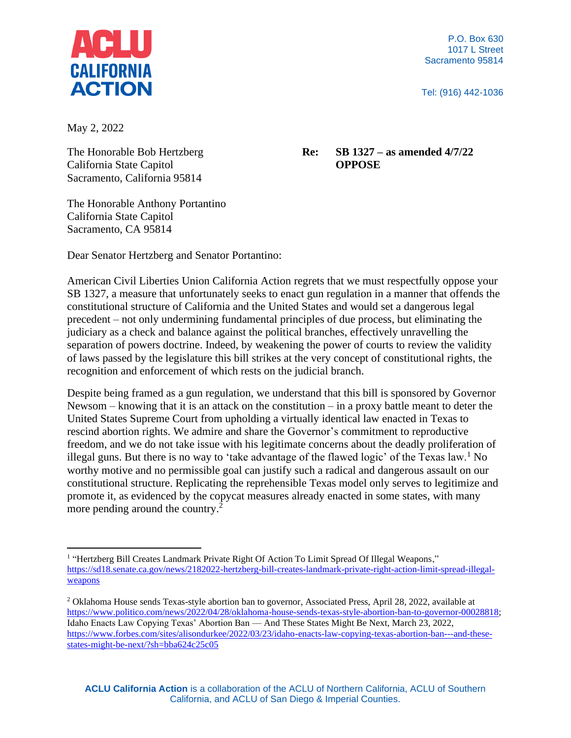

P.O. Box 630 1017 L Street Sacramento 95814

Tel: (916) 442-1036

May 2, 2022

The Honorable Bob Hertzberg California State Capitol Sacramento, California 95814

## **Re: SB 1327 – as amended 4/7/22 OPPOSE**

The Honorable Anthony Portantino California State Capitol Sacramento, CA 95814

Dear Senator Hertzberg and Senator Portantino:

American Civil Liberties Union California Action regrets that we must respectfully oppose your SB 1327, a measure that unfortunately seeks to enact gun regulation in a manner that offends the constitutional structure of California and the United States and would set a dangerous legal precedent – not only undermining fundamental principles of due process, but eliminating the judiciary as a check and balance against the political branches, effectively unravelling the separation of powers doctrine. Indeed, by weakening the power of courts to review the validity of laws passed by the legislature this bill strikes at the very concept of constitutional rights, the recognition and enforcement of which rests on the judicial branch.

Despite being framed as a gun regulation, we understand that this bill is sponsored by Governor Newsom – knowing that it is an attack on the constitution – in a proxy battle meant to deter the United States Supreme Court from upholding a virtually identical law enacted in Texas to rescind abortion rights. We admire and share the Governor's commitment to reproductive freedom, and we do not take issue with his legitimate concerns about the deadly proliferation of illegal guns. But there is no way to 'take advantage of the flawed logic' of the Texas law.<sup>1</sup> No worthy motive and no permissible goal can justify such a radical and dangerous assault on our constitutional structure. Replicating the reprehensible Texas model only serves to legitimize and promote it, as evidenced by the copycat measures already enacted in some states, with many more pending around the country.<sup>2</sup>

<sup>&</sup>lt;sup>1</sup> "Hertzberg Bill Creates Landmark Private Right Of Action To Limit Spread Of Illegal Weapons," [https://sd18.senate.ca.gov/news/2182022-hertzberg-bill-creates-landmark-private-right-action-limit-spread-illegal](https://sd18.senate.ca.gov/news/2182022-hertzberg-bill-creates-landmark-private-right-action-limit-spread-illegal-weapons)[weapons](https://sd18.senate.ca.gov/news/2182022-hertzberg-bill-creates-landmark-private-right-action-limit-spread-illegal-weapons)

<sup>2</sup> Oklahoma House sends Texas-style abortion ban to governor, Associated Press, April 28, 2022, available at [https://www.politico.com/news/2022/04/28/oklahoma-house-sends-texas-style-abortion-ban-to-governor-00028818;](https://www.politico.com/news/2022/04/28/oklahoma-house-sends-texas-style-abortion-ban-to-governor-00028818) Idaho Enacts Law Copying Texas' Abortion Ban — And These States Might Be Next, March 23, 2022, [https://www.forbes.com/sites/alisondurkee/2022/03/23/idaho-enacts-law-copying-texas-abortion-ban---and-these](https://www.forbes.com/sites/alisondurkee/2022/03/23/idaho-enacts-law-copying-texas-abortion-ban---and-these-states-might-be-next/?sh=bba624c25c05)[states-might-be-next/?sh=bba624c25c05](https://www.forbes.com/sites/alisondurkee/2022/03/23/idaho-enacts-law-copying-texas-abortion-ban---and-these-states-might-be-next/?sh=bba624c25c05)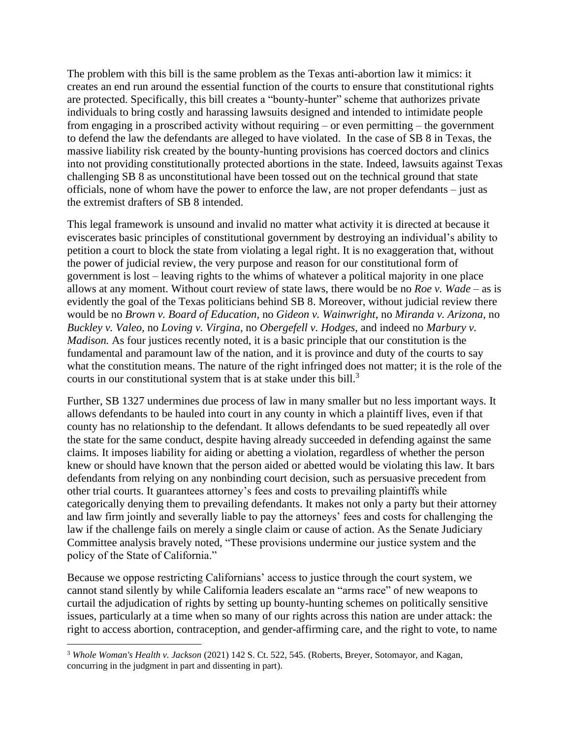The problem with this bill is the same problem as the Texas anti-abortion law it mimics: it creates an end run around the essential function of the courts to ensure that constitutional rights are protected. Specifically, this bill creates a "bounty-hunter" scheme that authorizes private individuals to bring costly and harassing lawsuits designed and intended to intimidate people from engaging in a proscribed activity without requiring – or even permitting – the government to defend the law the defendants are alleged to have violated. In the case of SB 8 in Texas, the massive liability risk created by the bounty-hunting provisions has coerced doctors and clinics into not providing constitutionally protected abortions in the state. Indeed, lawsuits against Texas challenging SB 8 as unconstitutional have been tossed out on the technical ground that state officials, none of whom have the power to enforce the law, are not proper defendants – just as the extremist drafters of SB 8 intended.

This legal framework is unsound and invalid no matter what activity it is directed at because it eviscerates basic principles of constitutional government by destroying an individual's ability to petition a court to block the state from violating a legal right. It is no exaggeration that, without the power of judicial review, the very purpose and reason for our constitutional form of government is lost – leaving rights to the whims of whatever a political majority in one place allows at any moment. Without court review of state laws, there would be no *Roe v. Wade* – as is evidently the goal of the Texas politicians behind SB 8. Moreover, without judicial review there would be no *Brown v. Board of Education*, no *Gideon v. Wainwright*, no *Miranda v. Arizona*, no *Buckley v. Valeo*, no *Loving v. Virgina*, no *Obergefell v. Hodges*, and indeed no *Marbury v. Madison.* As four justices recently noted, it is a basic principle that our constitution is the fundamental and paramount law of the nation, and it is province and duty of the courts to say what the constitution means. The nature of the right infringed does not matter; it is the role of the courts in our constitutional system that is at stake under this bill.<sup>3</sup>

Further, SB 1327 undermines due process of law in many smaller but no less important ways. It allows defendants to be hauled into court in any county in which a plaintiff lives, even if that county has no relationship to the defendant. It allows defendants to be sued repeatedly all over the state for the same conduct, despite having already succeeded in defending against the same claims. It imposes liability for aiding or abetting a violation, regardless of whether the person knew or should have known that the person aided or abetted would be violating this law. It bars defendants from relying on any nonbinding court decision, such as persuasive precedent from other trial courts. It guarantees attorney's fees and costs to prevailing plaintiffs while categorically denying them to prevailing defendants. It makes not only a party but their attorney and law firm jointly and severally liable to pay the attorneys' fees and costs for challenging the law if the challenge fails on merely a single claim or cause of action. As the Senate Judiciary Committee analysis bravely noted, "These provisions undermine our justice system and the policy of the State of California."

Because we oppose restricting Californians' access to justice through the court system, we cannot stand silently by while California leaders escalate an "arms race" of new weapons to curtail the adjudication of rights by setting up bounty-hunting schemes on politically sensitive issues, particularly at a time when so many of our rights across this nation are under attack: the right to access abortion, contraception, and gender-affirming care, and the right to vote, to name

<sup>3</sup> *Whole Woman's Health v. Jackson* (2021) 142 S. Ct. 522, 545. (Roberts, Breyer, Sotomayor, and Kagan, concurring in the judgment in part and dissenting in part).